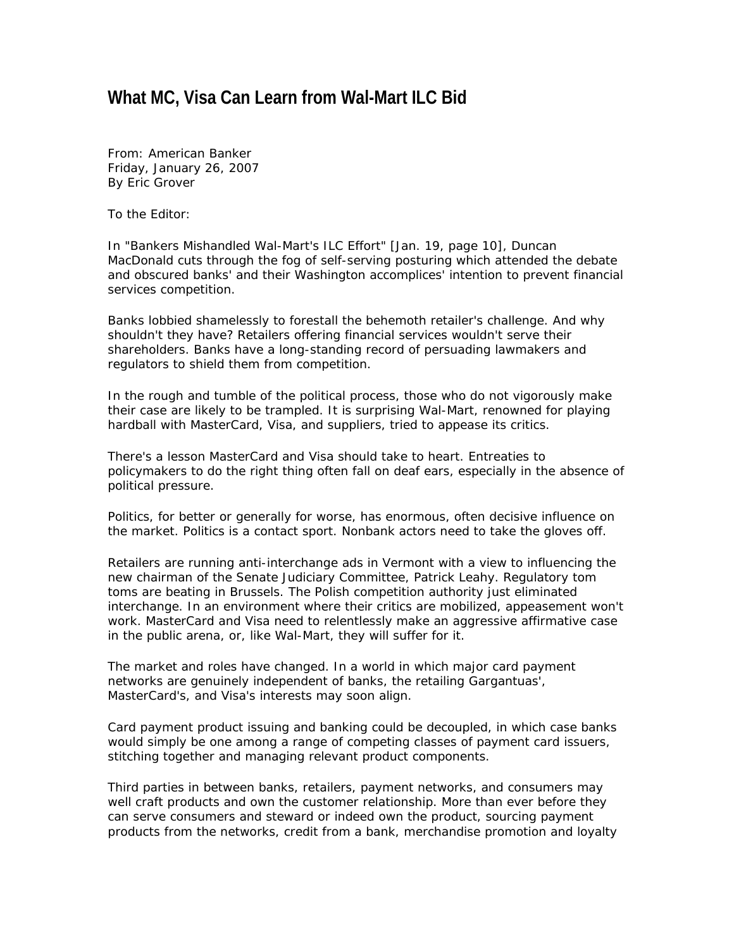## **What MC, Visa Can Learn from Wal-Mart ILC Bid**

*From: American Banker Friday, January 26, 2007 By Eric Grover* 

To the Editor:

In "Bankers Mishandled Wal-Mart's ILC Effort" [Jan. 19, page 10], Duncan MacDonald cuts through the fog of self-serving posturing which attended the debate and obscured banks' and their Washington accomplices' intention to prevent financial services competition.

Banks lobbied shamelessly to forestall the behemoth retailer's challenge. And why shouldn't they have? Retailers offering financial services wouldn't serve their shareholders. Banks have a long-standing record of persuading lawmakers and regulators to shield them from competition.

In the rough and tumble of the political process, those who do not vigorously make their case are likely to be trampled. It is surprising Wal-Mart, renowned for playing hardball with MasterCard, Visa, and suppliers, tried to appease its critics.

There's a lesson MasterCard and Visa should take to heart. Entreaties to policymakers to do the right thing often fall on deaf ears, especially in the absence of political pressure.

Politics, for better or generally for worse, has enormous, often decisive influence on the market. Politics is a contact sport. Nonbank actors need to take the gloves off.

Retailers are running anti-interchange ads in Vermont with a view to influencing the new chairman of the Senate Judiciary Committee, Patrick Leahy. Regulatory tom toms are beating in Brussels. The Polish competition authority just eliminated interchange. In an environment where their critics are mobilized, appeasement won't work. MasterCard and Visa need to relentlessly make an aggressive affirmative case in the public arena, or, like Wal-Mart, they will suffer for it.

The market and roles have changed. In a world in which major card payment networks are genuinely independent of banks, the retailing Gargantuas', MasterCard's, and Visa's interests may soon align.

Card payment product issuing and banking could be decoupled, in which case banks would simply be one among a range of competing classes of payment card issuers, stitching together and managing relevant product components.

Third parties in between banks, retailers, payment networks, and consumers may well craft products and own the customer relationship. More than ever before they can serve consumers and steward or indeed own the product, sourcing payment products from the networks, credit from a bank, merchandise promotion and loyalty